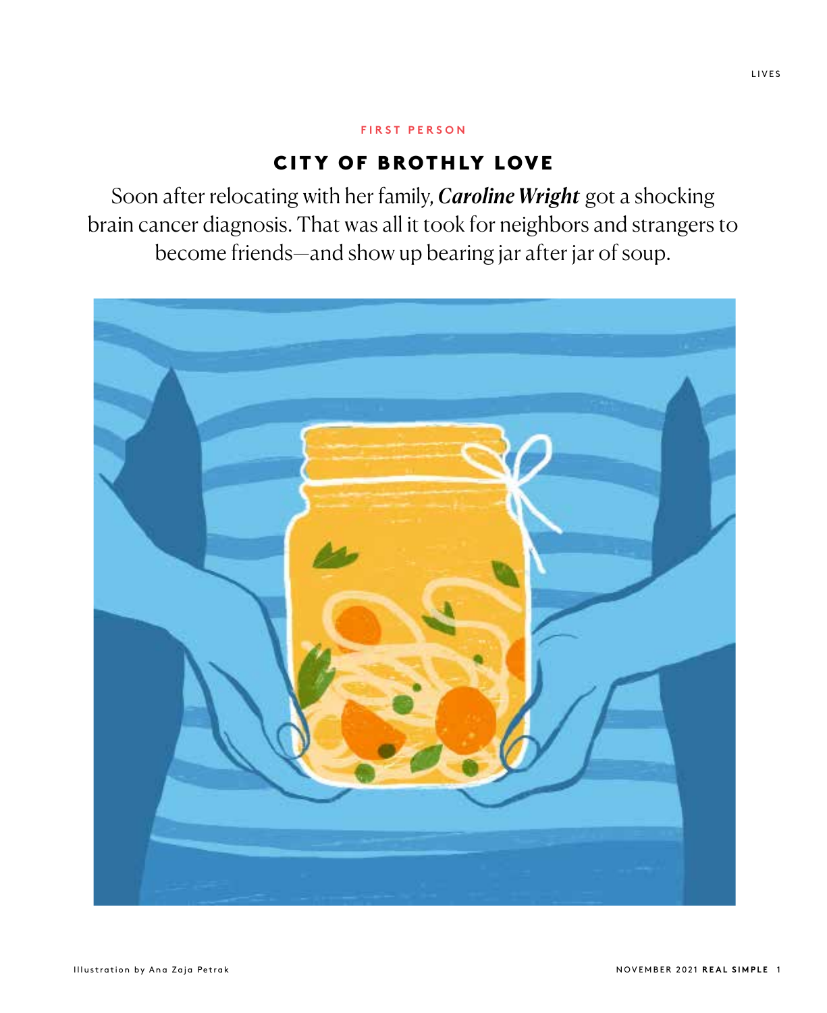## **FIRST PERSON**

## CITY OF BROTHLY LOVE

Soon after relocating with her family, *Caroline Wright* got a shocking brain cancer diagnosis. That was all it took for neighbors and strangers to become friends—and show up bearing jar after jar of soup.